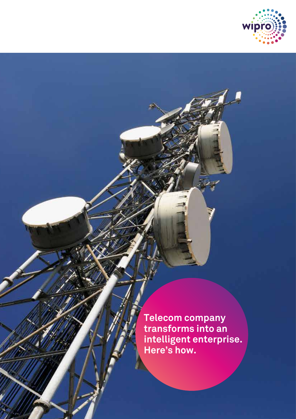

**Telecom company transforms into an intelligent enterprise. Here's how.**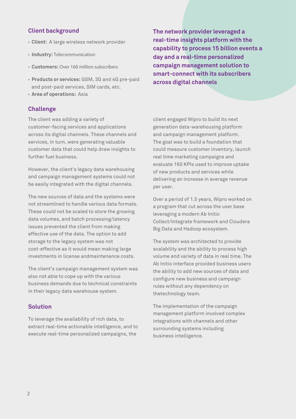# **Client background**

- **Client:** A large wireless network provider
- **Industry:** Telecommunication
- **Customers:** Over 160 million subscribers
- **Products or services:** GSM, 3G and 4G pre-paid and post-paid services, SIM cards, etc.
- **Area of operations:** Asia

#### **Challenge**

The client was adding a variety of customer-facing services and applications across its digital channels. These channels and services, in turn, were generating valuable customer data that could help draw insights to further fuel business.

However, the client's legacy data warehousing and campaign management systems could not be easily integrated with the digital channels.

The new sources of data and the systems were not streamlined to handle various data formats. These could not be scaled to store the growing data volumes, and batch processing/latency issues prevented the client from making effective use of the data. The option to add storage to the legacy system was not cost-effective as it would mean making large investments in license andmaintenance costs.

The client's campaign management system was also not able to cope up with the various business demands due to technical constraints in their legacy data warehouse system.

## **Solution**

To leverage the availability of rich data, to extract real-time actionable intelligence, and to execute real-time personalized campaigns, the

**The network provider leveraged a real-time insights platform with the capability to process 15 billion events a day and a real-time personalized campaign management solution to smart-connect with its subscribers across digital channels**

client engaged Wipro to build its next generation data-warehousing platform and campaign management platform. The goal was to build a foundation that could measure customer inventory, launch real time marketing campaigns and evaluate 160 KPIs used to improve uptake of new products and services while delivering an increase in average revenue per user.

Over a period of 1.5 years, Wipro worked on a program that cut across the user base leveraging a modern Ab Initio Collect/Integrate framework and Cloudera Big Data and Hadoop ecosystem.

The system was architected to provide scalability and the ability to process high volume and variety of data in real time. The Ab Initio interface provided business users the ability to add new sources of data and configure new business and campaign rules without any dependency on thetechnology team.

The implementation of the campaign management platform involved complex integrations with channels and other surrounding systems including business intelligence.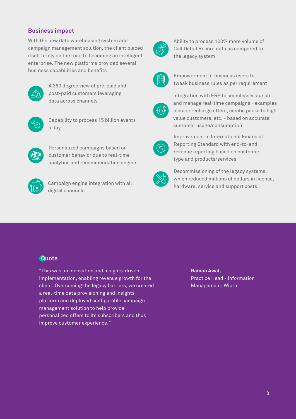## **Business impact**

With the new data warehousing system and campaign management solution, the client placed itself firmly on the road to becoming an intelligent enterprise. The new platforms provided several business capabilities and benefits



A 360 degree view of pre-paid and post-paid customers leveraging data across channels



Capability to process 15 billion events a day



Personalized campaigns based on customer behavior due to real-time analytics and recommendation engine



Campaign engine integration with all digital channels



Ability to process 100% more volume of Call Detail Record data as compared to the legacy system



Empowerment of business users to tweak business rules as per requirement



Integration with ERP to seamlessly launch and manage real-time campaigns - examples include recharge offers, combo packs to high value customers, etc. - based on accurate customer usage/consumption



Improvement in International Financial Reporting Standard with end-to-end revenue reporting based on customer type and products/services



Decommissioning of the legacy systems, which reduced millions of dollars in license. hardware, service and support costs

## **Quote**

"This was an innovation and insights-driven implementation, enabling revenue growth for the client. Overcoming the legacy barriers, we created a real-time data provisioning and insights platform and deployed configurable campaign management solution to help provide personalized offers to its subscribers and thus improve customer experience."

**Raman Awal,**  Practice Head - Information Management, Wipro